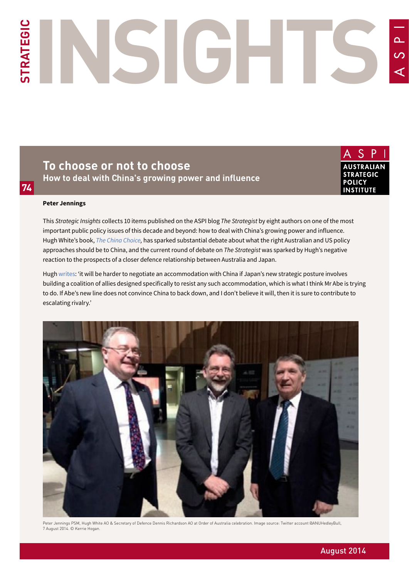# **STRATEGIC INSIGHTS**  $\overline{O}$

**To choose or not to choose How to deal with China's growing power and influence**

S **AUSTRALIAN STRATEGIC POLICY INSTITUTE** 

#### **Peter Jennings**

**74**

This *Strategic Insights* collects 10 items published on the ASPI blog *The Strategist* by eight authors on one of the most important public policy issues of this decade and beyond: how to deal with China's growing power and influence. Hugh White's book, *[The China Choice,](http://www.blackincbooks.com/books/china-choice-1)* has sparked substantial debate about what the right Australian and US policy approaches should be to China, and the current round of debate on *The Strategist* was sparked by Hugh's negative reaction to the prospects of a closer defence relationship between Australia and Japan.

Hugh [writes](#page-2-0): 'it will be harder to negotiate an accommodation with China if Japan's new strategic posture involves building a coalition of allies designed specifically to resist any such accommodation, which is what I think Mr Abe is trying to do. If Abe's new line does not convince China to back down, and I don't believe it will, then it is sure to contribute to escalating rivalry.'



Peter Jennings PSM, Hugh White AO & Secretary of Defence Dennis Richardson AO at Order of Australia celebration. Image source: Twitter account @ANUHedleyBull, 7 August 2014. © Kerrie Hogan.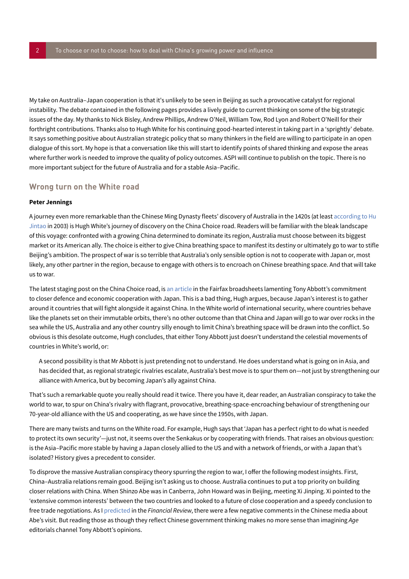My take on Australia–Japan cooperation is that it's unlikely to be seen in Beijing as such a provocative catalyst for regional instability. The debate contained in the following pages provides a lively guide to current thinking on some of the big strategic issues of the day. My thanks to Nick Bisley, Andrew Phillips, Andrew O'Neil, William Tow, Rod Lyon and Robert O'Neill for their forthright contributions. Thanks also to Hugh White for his continuing good-hearted interest in taking part in a 'sprightly' debate. It says something positive about Australian strategic policy that so many thinkers in the field are willing to participate in an open dialogue of this sort. My hope is that a conversation like this will start to identify points of shared thinking and expose the areas where further work is needed to improve the quality of policy outcomes. ASPI will continue to publish on the topic. There is no more important subject for the future of Australia and for a stable Asia–Pacific.

# <span id="page-1-0"></span>**Wrong turn on the White road**

## **Peter Jennings**

A journey even more remarkable than the Chinese Ming Dynasty fleets' discovery of Australia in the 1420s (at least [according to Hu](http://www.smh.com.au/articles/2003/10/24/1066631618612.html)  [Jintao](http://www.smh.com.au/articles/2003/10/24/1066631618612.html) in 2003) is Hugh White's journey of discovery on the China Choice road. Readers will be familiar with the bleak landscape of this voyage: confronted with a growing China determined to dominate its region, Australia must choose between its biggest market or its American ally. The choice is either to give China breathing space to manifest its destiny or ultimately go to war to stifle Beijing's ambition. The prospect of war is so terrible that Australia's only sensible option is not to cooperate with Japan or, most likely, any other partner in the region, because to engage with others is to encroach on Chinese breathing space. And that will take us to war.

The latest staging post on the China Choice road, is [an article](http://www.smh.com.au/comment/abbott-should-think-twice-before-becoming-friendly-with-japan-20140707-zsynj.html#ixzz37Ul3S6jS) in the Fairfax broadsheets lamenting Tony Abbott's commitment to closer defence and economic cooperation with Japan. This is a bad thing, Hugh argues, because Japan's interest is to gather around it countries that will fight alongside it against China. In the White world of international security, where countries behave like the planets set on their immutable orbits, there's no other outcome than that China and Japan will go to war over rocks in the sea while the US, Australia and any other country silly enough to limit China's breathing space will be drawn into the conflict. So obvious is this desolate outcome, Hugh concludes, that either Tony Abbott just doesn't understand the celestial movements of countries in White's world, or:

A second possibility is that Mr Abbott is just pretending not to understand. He does understand what is going on in Asia, and has decided that, as regional strategic rivalries escalate, Australia's best move is to spur them on—not just by strengthening our alliance with America, but by becoming Japan's ally against China.

That's such a remarkable quote you really should read it twice. There you have it, dear reader, an Australian conspiracy to take the world to war, to spur on China's rivalry with flagrant, provocative, breathing-space-encroaching behaviour of strengthening our 70-year-old alliance with the US and cooperating, as we have since the 1950s, with Japan.

There are many twists and turns on the White road. For example, Hugh says that 'Japan has a perfect right to do what is needed to protect its own security'—just not, it seems over the Senkakus or by cooperating with friends. That raises an obvious question: is the Asia–Pacific more stable by having a Japan closely allied to the US and with a network of friends, or with a Japan that's isolated? History gives a precedent to consider.

To disprove the massive Australian conspiracy theory spurring the region to war, I offer the following modest insights. First, China–Australia relations remain good. Beijing isn't asking us to choose. Australia continues to put a top priority on building closer relations with China. When Shinzo Abe was in Canberra, John Howard was in Beijing, meeting Xi Jinping. Xi pointed to the 'extensive common interests' between the two countries and looked to a future of close cooperation and a speedy conclusion to free trade negotiations. As I [predicted](https://www.aspi.org.au/publications/opinion-pieces/strong-links-with-asia-should-drive-defence-ties) in the *Financial Review*, there were a few negative comments in the Chinese media about Abe's visit. But reading those as though they reflect Chinese government thinking makes no more sense than imagining *Age* editorials channel Tony Abbott's opinions.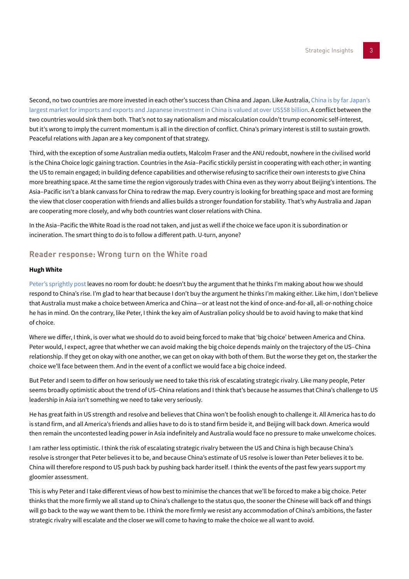Second, no two countries are more invested in each other's success than China and Japan. Like Australia, China is by far Japan's [largest market for imports and exports and Japanese investment in China is valued at over US\\$58 billion.](http://www.mofa.go.jp/region/asia-paci/china/data.html) A conflict between the two countries would sink them both. That's not to say nationalism and miscalculation couldn't trump economic self-interest, but it's wrong to imply the current momentum is all in the direction of conflict. China's primary interest is still to sustain growth. Peaceful relations with Japan are a key component of that strategy.

Third, with the exception of some Australian media outlets, Malcolm Fraser and the ANU redoubt, nowhere in the civilised world is the China Choice logic gaining traction. Countries in the Asia–Pacific stickily persist in cooperating with each other; in wanting the US to remain engaged; in building defence capabilities and otherwise refusing to sacrifice their own interests to give China more breathing space. At the same time the region vigorously trades with China even as they worry about Beijing's intentions. The Asia–Pacific isn't a blank canvass for China to redraw the map. Every country is looking for breathing space and most are forming the view that closer cooperation with friends and allies builds a stronger foundation for stability. That's why Australia and Japan are cooperating more closely, and why both countries want closer relations with China.

In the Asia–Pacific the White Road is the road not taken, and just as well if the choice we face upon it is subordination or incineration. The smart thing to do is to follow a different path. U-turn, anyone?

# <span id="page-2-0"></span>**Reader response: Wrong turn on the White road**

## **Hugh White**

[Peter's sprightly post](#page-1-0) leaves no room for doubt: he doesn't buy the argument that he thinks I'm making about how we should respond to China's rise. I'm glad to hear that because I don't buy the argument he thinks I'm making either. Like him, I don't believe that Australia must make a choice between America and China—or at least not the kind of once-and-for-all, all-or-nothing choice he has in mind. On the contrary, like Peter, I think the key aim of Australian policy should be to avoid having to make that kind of choice.

Where we differ, I think, is over what we should do to avoid being forced to make that 'big choice' between America and China. Peter would, I expect, agree that whether we can avoid making the big choice depends mainly on the trajectory of the US–China relationship. If they get on okay with one another, we can get on okay with both of them. But the worse they get on, the starker the choice we'll face between them. And in the event of a conflict we would face a big choice indeed.

But Peter and I seem to differ on how seriously we need to take this risk of escalating strategic rivalry. Like many people, Peter seems broadly optimistic about the trend of US–China relations and I think that's because he assumes that China's challenge to US leadership in Asia isn't something we need to take very seriously.

He has great faith in US strength and resolve and believes that China won't be foolish enough to challenge it. All America has to do is stand firm, and all America's friends and allies have to do is to stand firm beside it, and Beijing will back down. America would then remain the uncontested leading power in Asia indefinitely and Australia would face no pressure to make unwelcome choices.

I am rather less optimistic. I think the risk of escalating strategic rivalry between the US and China is high because China's resolve is stronger that Peter believes it to be, and because China's estimate of US resolve is lower than Peter believes it to be. China will therefore respond to US push back by pushing back harder itself. I think the events of the past few years support my gloomier assessment.

This is why Peter and I take different views of how best to minimise the chances that we'll be forced to make a big choice. Peter thinks that the more firmly we all stand up to China's challenge to the status quo, the sooner the Chinese will back off and things will go back to the way we want them to be. I think the more firmly we resist any accommodation of China's ambitions, the faster strategic rivalry will escalate and the closer we will come to having to make the choice we all want to avoid.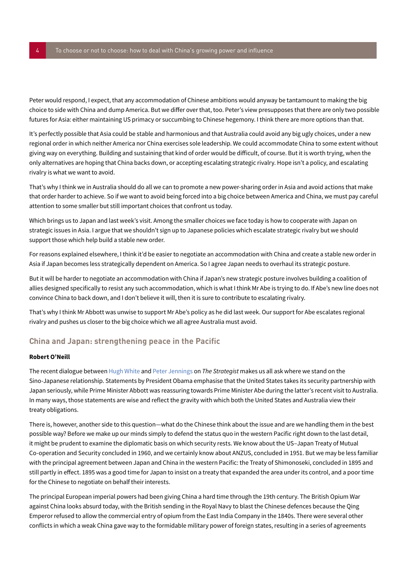Peter would respond, I expect, that any accommodation of Chinese ambitions would anyway be tantamount to making the big choice to side with China and dump America. But we differ over that, too. Peter's view presupposes that there are only two possible futures for Asia: either maintaining US primacy or succumbing to Chinese hegemony. I think there are more options than that.

It's perfectly possible that Asia could be stable and harmonious and that Australia could avoid any big ugly choices, under a new regional order in which neither America nor China exercises sole leadership. We could accommodate China to some extent without giving way on everything. Building and sustaining that kind of order would be difficult, of course. But it is worth trying, when the only alternatives are hoping that China backs down, or accepting escalating strategic rivalry. Hope isn't a policy, and escalating rivalry is what we want to avoid.

That's why I think we in Australia should do all we can to promote a new power-sharing order in Asia and avoid actions that make that order harder to achieve. So if we want to avoid being forced into a big choice between America and China, we must pay careful attention to some smaller but still important choices that confront us today.

Which brings us to Japan and last week's visit. Among the smaller choices we face today is how to cooperate with Japan on strategic issues in Asia. I argue that we shouldn't sign up to Japanese policies which escalate strategic rivalry but we should support those which help build a stable new order.

For reasons explained elsewhere, I think it'd be easier to negotiate an accommodation with China and create a stable new order in Asia if Japan becomes less strategically dependent on America. So I agree Japan needs to overhaul its strategic posture.

But it will be harder to negotiate an accommodation with China if Japan's new strategic posture involves building a coalition of allies designed specifically to resist any such accommodation, which is what I think Mr Abe is trying to do. If Abe's new line does not convince China to back down, and I don't believe it will, then it is sure to contribute to escalating rivalry.

That's why I think Mr Abbott was unwise to support Mr Abe's policy as he did last week. Our support for Abe escalates regional rivalry and pushes us closer to the big choice which we all agree Australia must avoid.

# <span id="page-3-0"></span>**China and Japan: strengthening peace in the Pacific**

## **Robert O'Neill**

The recent dialogue between [Hugh White](#page-2-0) and [Peter Jennings](#page-1-0) on *The Strategist* makes us all ask where we stand on the Sino-Japanese relationship. Statements by President Obama emphasise that the United States takes its security partnership with Japan seriously, while Prime Minister Abbott was reassuring towards Prime Minister Abe during the latter's recent visit to Australia. In many ways, those statements are wise and reflect the gravity with which both the United States and Australia view their treaty obligations.

There is, however, another side to this question—what do the Chinese think about the issue and are we handling them in the best possible way? Before we make up our minds simply to defend the status quo in the western Pacific right down to the last detail, it might be prudent to examine the diplomatic basis on which security rests. We know about the US–Japan Treaty of Mutual Co-operation and Security concluded in 1960, and we certainly know about ANZUS, concluded in 1951. But we may be less familiar with the principal agreement between Japan and China in the western Pacific: the Treaty of Shimonoseki, concluded in 1895 and still partly in effect. 1895 was a good time for Japan to insist on a treaty that expanded the area under its control, and a poor time for the Chinese to negotiate on behalf their interests.

The principal European imperial powers had been giving China a hard time through the 19th century. The British Opium War against China looks absurd today, with the British sending in the Royal Navy to blast the Chinese defences because the Qing Emperor refused to allow the commercial entry of opium from the East India Company in the 1840s. There were several other conflicts in which a weak China gave way to the formidable military power of foreign states, resulting in a series of agreements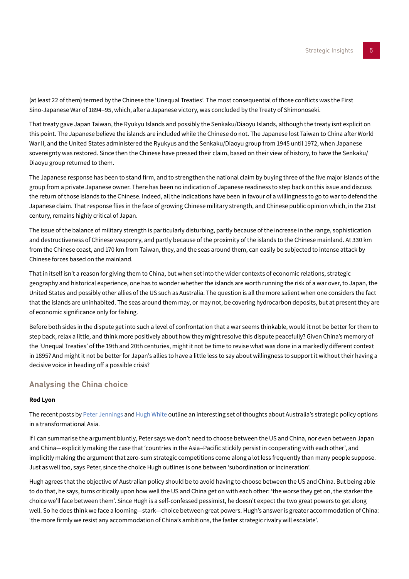(at least 22 of them) termed by the Chinese the 'Unequal Treaties'. The most consequential of those conflicts was the First Sino-Japanese War of 1894–95, which, after a Japanese victory, was concluded by the Treaty of Shimonoseki.

That treaty gave Japan Taiwan, the Ryukyu Islands and possibly the Senkaku/Diaoyu Islands, although the treaty isnt explicit on this point. The Japanese believe the islands are included while the Chinese do not. The Japanese lost Taiwan to China after World War II, and the United States administered the Ryukyus and the Senkaku/Diaoyu group from 1945 until 1972, when Japanese sovereignty was restored. Since then the Chinese have pressed their claim, based on their view of history, to have the Senkaku/ Diaoyu group returned to them.

The Japanese response has been to stand firm, and to strengthen the national claim by buying three of the five major islands of the group from a private Japanese owner. There has been no indication of Japanese readiness to step back on this issue and discuss the return of those islands to the Chinese. Indeed, all the indications have been in favour of a willingness to go to war to defend the Japanese claim. That response flies in the face of growing Chinese military strength, and Chinese public opinion which, in the 21st century, remains highly critical of Japan.

The issue of the balance of military strength is particularly disturbing, partly because of the increase in the range, sophistication and destructiveness of Chinese weaponry, and partly because of the proximity of the islands to the Chinese mainland. At 330 km from the Chinese coast, and 170 km from Taiwan, they, and the seas around them, can easily be subjected to intense attack by Chinese forces based on the mainland.

That in itself isn't a reason for giving them to China, but when set into the wider contexts of economic relations, strategic geography and historical experience, one has to wonder whether the islands are worth running the risk of a war over, to Japan, the United States and possibly other allies of the US such as Australia. The question is all the more salient when one considers the fact that the islands are uninhabited. The seas around them may, or may not, be covering hydrocarbon deposits, but at present they are of economic significance only for fishing.

Before both sides in the dispute get into such a level of confrontation that a war seems thinkable, would it not be better for them to step back, relax a little, and think more positively about how they might resolve this dispute peacefully? Given China's memory of the 'Unequal Treaties' of the 19th and 20th centuries, might it not be time to revise what was done in a markedly different context in 1895? And might it not be better for Japan's allies to have a little less to say about willingness to support it without their having a decisive voice in heading off a possible crisis?

# <span id="page-4-0"></span>**Analysing the China choice**

## **Rod Lyon**

The recent posts by [Peter Jennings](#page-1-0) and [Hugh White](#page-2-0) outline an interesting set of thoughts about Australia's strategic policy options in a transformational Asia.

If I can summarise the argument bluntly, Peter says we don't need to choose between the US and China, nor even between Japan and China—explicitly making the case that 'countries in the Asia–Pacific stickily persist in cooperating with each other', and implicitly making the argument that zero-sum strategic competitions come along a lot less frequently than many people suppose. Just as well too, says Peter, since the choice Hugh outlines is one between 'subordination or incineration'.

Hugh agrees that the objective of Australian policy should be to avoid having to choose between the US and China. But being able to do that, he says, turns critically upon how well the US and China get on with each other: 'the worse they get on, the starker the choice we'll face between them'. Since Hugh is a self-confessed pessimist, he doesn't expect the two great powers to get along well. So he does think we face a looming—stark—choice between great powers. Hugh's answer is greater accommodation of China: 'the more firmly we resist any accommodation of China's ambitions, the faster strategic rivalry will escalate'.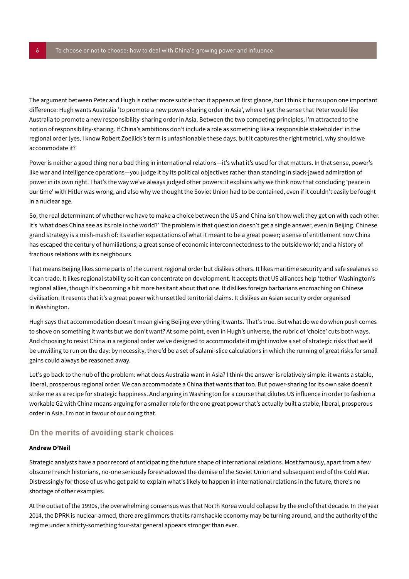The argument between Peter and Hugh is rather more subtle than it appears at first glance, but I think it turns upon one important difference: Hugh wants Australia 'to promote a new power-sharing order in Asia', where I get the sense that Peter would like Australia to promote a new responsibility-sharing order in Asia. Between the two competing principles, I'm attracted to the notion of responsibility-sharing. If China's ambitions don't include a role as something like a 'responsible stakeholder' in the regional order (yes, I know Robert Zoellick's term is unfashionable these days, but it captures the right metric), why should we accommodate it?

Power is neither a good thing nor a bad thing in international relations—it's what it's used for that matters. In that sense, power's like war and intelligence operations—you judge it by its political objectives rather than standing in slack-jawed admiration of power in its own right. That's the way we've always judged other powers: it explains why we think now that concluding 'peace in our time' with Hitler was wrong, and also why we thought the Soviet Union had to be contained, even if it couldn't easily be fought in a nuclear age.

So, the real determinant of whether we have to make a choice between the US and China isn't how well they get on with each other. It's 'what does China see as its role in the world?' The problem is that question doesn't get a single answer, even in Beijing. Chinese grand strategy is a mish-mash of: its earlier expectations of what it meant to be a great power; a sense of entitlement now China has escaped the century of humiliations; a great sense of economic interconnectedness to the outside world; and a history of fractious relations with its neighbours.

That means Beijing likes some parts of the current regional order but dislikes others. It likes maritime security and safe sealanes so it can trade. It likes regional stability so it can concentrate on development. It accepts that US alliances help 'tether' Washington's regional allies, though it's becoming a bit more hesitant about that one. It dislikes foreign barbarians encroaching on Chinese civilisation. It resents that it's a great power with unsettled territorial claims. It dislikes an Asian security order organised in Washington.

Hugh says that accommodation doesn't mean giving Beijing everything it wants. That's true. But what do we do when push comes to shove on something it wants but we don't want? At some point, even in Hugh's universe, the rubric of 'choice' cuts both ways. And choosing to resist China in a regional order we've designed to accommodate it might involve a set of strategic risks that we'd be unwilling to run on the day: by necessity, there'd be a set of salami-slice calculations in which the running of great risks for small gains could always be reasoned away.

Let's go back to the nub of the problem: what does Australia want in Asia? I think the answer is relatively simple: it wants a stable, liberal, prosperous regional order. We can accommodate a China that wants that too. But power-sharing for its own sake doesn't strike me as a recipe for strategic happiness. And arguing in Washington for a course that dilutes US influence in order to fashion a workable G2 with China means arguing for a smaller role for the one great power that's actually built a stable, liberal, prosperous order in Asia. I'm not in favour of our doing that.

# <span id="page-5-0"></span>**On the merits of avoiding stark choices**

## **Andrew O'Neil**

Strategic analysts have a poor record of anticipating the future shape of international relations. Most famously, apart from a few obscure French historians, no-one seriously foreshadowed the demise of the Soviet Union and subsequent end of the Cold War. Distressingly for those of us who get paid to explain what's likely to happen in international relations in the future, there's no shortage of other examples.

At the outset of the 1990s, the overwhelming consensus was that North Korea would collapse by the end of that decade. In the year 2014, the DPRK is nuclear-armed, there are glimmers that its ramshackle economy may be turning around, and the authority of the regime under a thirty-something four-star general appears stronger than ever.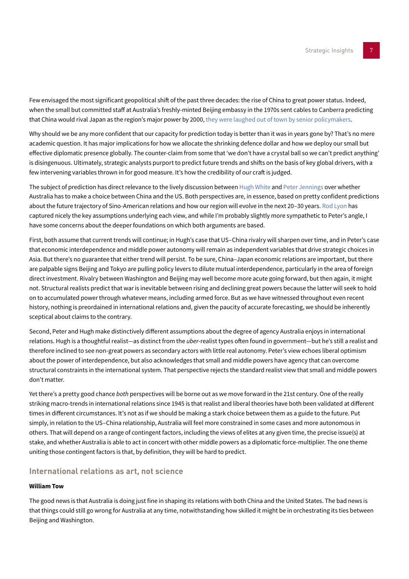Few envisaged the most significant geopolitical shift of the past three decades: the rise of China to great power status. Indeed, when the small but committed staff at Australia's freshly-minted Beijing embassy in the 1970s sent cables to Canberra predicting that China would rival Japan as the region's major power by 2000, [they were laughed out of town by senior policymakers.](http://www.naa.gov.au/collection/publications/papers-and-podcasts/international-relations-and-foreign-affairs/fitzgerald-transcript.aspx)

Why should we be any more confident that our capacity for prediction today is better than it was in years gone by? That's no mere academic question. It has major implications for how we allocate the shrinking defence dollar and how we deploy our small but effective diplomatic presence globally. The counter-claim from some that 'we don't have a crystal ball so we can't predict anything' is disingenuous. Ultimately, strategic analysts purport to predict future trends and shifts on the basis of key global drivers, with a few intervening variables thrown in for good measure. It's how the credibility of our craft is judged.

The subject of prediction has direct relevance to the lively discussion between [Hugh White](#page-2-0) and [Peter Jennings](#page-1-0) over whether Australia has to make a choice between China and the US. Both perspectives are, in essence, based on pretty confident predictions about the future trajectory of Sino-American relations and how our region will evolve in the next 20–30 years. [Rod Lyon](#page-4-0) has captured nicely the key assumptions underlying each view, and while I'm probably slightly more sympathetic to Peter's angle, I have some concerns about the deeper foundations on which both arguments are based.

First, both assume that current trends will continue; in Hugh's case that US–China rivalry will sharpen over time, and in Peter's case that economic interdependence and middle power autonomy will remain as independent variables that drive strategic choices in Asia. But there's no guarantee that either trend will persist. To be sure, China–Japan economic relations are important, but there are palpable signs Beijing and Tokyo are pulling policy levers to dilute mutual interdependence, particularly in the area of foreign direct investment. Rivalry between Washington and Beijing may well become more acute going forward, but then again, it might not. Structural realists predict that war is inevitable between rising and declining great powers because the latter will seek to hold on to accumulated power through whatever means, including armed force. But as we have witnessed throughout even recent history, nothing is preordained in international relations and, given the paucity of accurate forecasting, we should be inherently sceptical about claims to the contrary.

Second, Peter and Hugh make distinctively different assumptions about the degree of agency Australia enjoys in international relations. Hugh is a thoughtful realist—as distinct from the *uber*-realist types often found in government—but he's still a realist and therefore inclined to see non-great powers as secondary actors with little real autonomy. Peter's view echoes liberal optimism about the power of interdependence, but also acknowledges that small and middle powers have agency that can overcome structural constraints in the international system. That perspective rejects the standard realist view that small and middle powers don't matter.

Yet there's a pretty good chance *both* perspectives will be borne out as we move forward in the 21st century. One of the really striking macro-trends in international relations since 1945 is that realist and liberal theories have both been validated at different times in different circumstances. It's not as if we should be making a stark choice between them as a guide to the future. Put simply, in relation to the US–China relationship, Australia will feel more constrained in some cases and more autonomous in others. That will depend on a range of contingent factors, including the views of elites at any given time, the precise issue(s) at stake, and whether Australia is able to act in concert with other middle powers as a diplomatic force-multiplier. The one theme uniting those contingent factors is that, by definition, they will be hard to predict.

# <span id="page-6-0"></span>**International relations as art, not science**

## **William Tow**

The good news is that Australia is doing just fine in shaping its relations with both China and the United States. The bad news is that things could still go wrong for Australia at any time, notwithstanding how skilled it might be in orchestrating its ties between Beijing and Washington.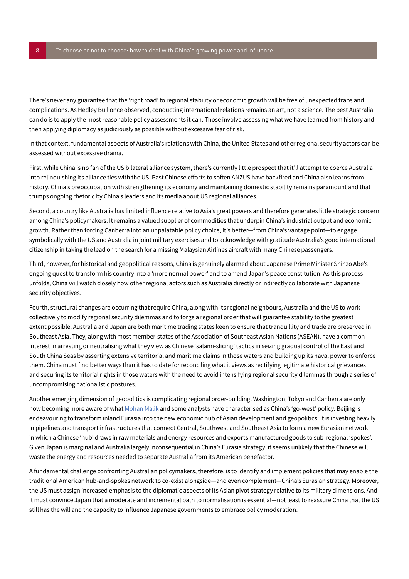There's never any guarantee that the 'right road' to regional stability or economic growth will be free of unexpected traps and complications. As Hedley Bull once observed, conducting international relations remains an art, not a science. The best Australia can do is to apply the most reasonable policy assessments it can. Those involve assessing what we have learned from history and then applying diplomacy as judiciously as possible without excessive fear of risk.

In that context, fundamental aspects of Australia's relations with China, the United States and other regional security actors can be assessed without excessive drama.

First, while China is no fan of the US bilateral alliance system, there's currently little prospect that it'll attempt to coerce Australia into relinquishing its alliance ties with the US. Past Chinese efforts to soften ANZUS have backfired and China also learns from history. China's preoccupation with strengthening its economy and maintaining domestic stability remains paramount and that trumps ongoing rhetoric by China's leaders and its media about US regional alliances.

Second, a country like Australia has limited influence relative to Asia's great powers and therefore generates little strategic concern among China's policymakers. It remains a valued supplier of commodities that underpin China's industrial output and economic growth. Rather than forcing Canberra into an unpalatable policy choice, it's better—from China's vantage point—to engage symbolically with the US and Australia in joint military exercises and to acknowledge with gratitude Australia's good international citizenship in taking the lead on the search for a missing Malaysian Airlines aircraft with many Chinese passengers.

Third, however, for historical and geopolitical reasons, China is genuinely alarmed about Japanese Prime Minister Shinzo Abe's ongoing quest to transform his country into a 'more normal power' and to amend Japan's peace constitution. As this process unfolds, China will watch closely how other regional actors such as Australia directly or indirectly collaborate with Japanese security objectives.

Fourth, structural changes are occurring that require China, along with its regional neighbours, Australia and the US to work collectively to modify regional security dilemmas and to forge a regional order that will guarantee stability to the greatest extent possible. Australia and Japan are both maritime trading states keen to ensure that tranquillity and trade are preserved in Southeast Asia. They, along with most member-states of the Association of Southeast Asian Nations (ASEAN), have a common interest in arresting or neutralising what they view as Chinese 'salami-slicing' tactics in seizing gradual control of the East and South China Seas by asserting extensive territorial and maritime claims in those waters and building up its naval power to enforce them. China must find better ways than it has to date for reconciling what it views as rectifying legitimate historical grievances and securing its territorial rights in those waters with the need to avoid intensifying regional security dilemmas through a series of uncompromising nationalistic postures.

Another emerging dimension of geopolitics is complicating regional order-building. Washington, Tokyo and Canberra are only now becoming more aware of what [Mohan Malik](http://nationalinterest.org/feature/america-chinas-dangerous-game-geopolitical-poker-10690?page=5) and some analysts have characterised as China's 'go-west' policy. Beijing is endeavouring to transform inland Eurasia into the new economic hub of Asian development and geopolitics. It is investing heavily in pipelines and transport infrastructures that connect Central, Southwest and Southeast Asia to form a new Eurasian network in which a Chinese 'hub' draws in raw materials and energy resources and exports manufactured goods to sub-regional 'spokes'. Given Japan is marginal and Australia largely inconsequential in China's Eurasia strategy, it seems unlikely that the Chinese will waste the energy and resources needed to separate Australia from its American benefactor.

A fundamental challenge confronting Australian policymakers, therefore, is to identify and implement policies that may enable the traditional American hub-and-spokes network to co-exist alongside—and even complement—China's Eurasian strategy. Moreover, the US must assign increased emphasis to the diplomatic aspects of its Asian pivot strategy relative to its military dimensions. And it must convince Japan that a moderate and incremental path to normalisation is essential—not least to reassure China that the US still has the will and the capacity to influence Japanese governments to embrace policy moderation.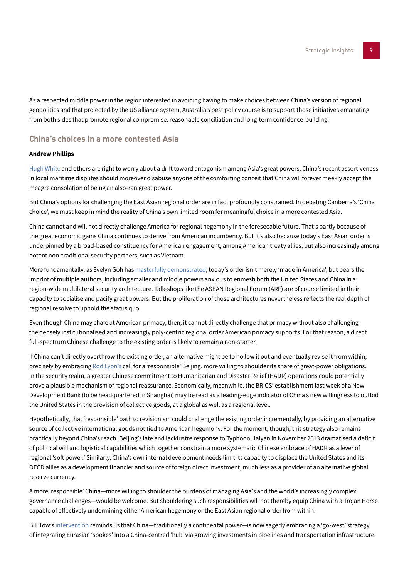As a respected middle power in the region interested in avoiding having to make choices between China's version of regional geopolitics and that projected by the US alliance system, Australia's best policy course is to support those initiatives emanating from both sides that promote regional compromise, reasonable conciliation and long-term confidence-building.

# **China's choices in a more contested Asia**

## **Andrew Phillips**

[Hugh White](#page-2-0) and others are right to worry about a drift toward antagonism among Asia's great powers. China's recent assertiveness in local maritime disputes should moreover disabuse anyone of the comforting conceit that China will forever meekly accept the meagre consolation of being an also-ran great power.

But China's options for challenging the East Asian regional order are in fact profoundly constrained. In debating Canberra's 'China choice', we must keep in mind the reality of China's own limited room for meaningful choice in a more contested Asia.

China cannot and will not directly challenge America for regional hegemony in the foreseeable future. That's partly because of the great economic gains China continues to derive from American incumbency. But it's also because today's East Asian order is underpinned by a broad-based constituency for American engagement, among American treaty allies, but also increasingly among potent non-traditional security partners, such as Vietnam.

More fundamentally, as Evelyn Goh has [masterfully demonstrated,](http://www.amazon.com/The-Struggle-Order-Hierarchy-Transition/dp/019959936X/ref=sr_1_1?ie=UTF8&qid=1406538304&sr=8-1&keywords=evelyn+goh) today's order isn't merely 'made in America', but bears the imprint of multiple authors, including smaller and middle powers anxious to enmesh both the United States and China in a region-wide multilateral security architecture. Talk-shops like the ASEAN Regional Forum (ARF) are of course limited in their capacity to socialise and pacify great powers. But the proliferation of those architectures nevertheless reflects the real depth of regional resolve to uphold the status quo.

Even though China may chafe at American primacy, then, it cannot directly challenge that primacy without also challenging the densely institutionalised and increasingly poly-centric regional order American primacy supports. For that reason, a direct full-spectrum Chinese challenge to the existing order is likely to remain a non-starter.

If China can't directly overthrow the existing order, an alternative might be to hollow it out and eventually revise it from within, precisely by embracing [Rod Lyon's](#page-4-0) call for a 'responsible' Beijing, more willing to shoulder its share of great-power obligations. In the security realm, a greater Chinese commitment to Humanitarian and Disaster Relief (HADR) operations could potentially prove a plausible mechanism of regional reassurance. Economically, meanwhile, the BRICS' establishment last week of a New Development Bank (to be headquartered in Shanghai) may be read as a leading-edge indicator of China's new willingness to outbid the United States in the provision of collective goods, at a global as well as a regional level.

Hypothetically, that 'responsible' path to revisionism could challenge the existing order incrementally, by providing an alternative source of collective international goods not tied to American hegemony. For the moment, though, this strategy also remains practically beyond China's reach. Beijing's late and lacklustre response to Typhoon Haiyan in November 2013 dramatised a deficit of political will and logistical capabilities which together constrain a more systematic Chinese embrace of HADR as a lever of regional 'soft power.' Similarly, China's own internal development needs limit its capacity to displace the United States and its OECD allies as a development financier and source of foreign direct investment, much less as a provider of an alternative global reserve currency.

A more 'responsible' China—more willing to shoulder the burdens of managing Asia's and the world's increasingly complex governance challenges—would be welcome. But shouldering such responsibilities will not thereby equip China with a Trojan Horse capable of effectively undermining either American hegemony or the East Asian regional order from within.

Bill Tow's [intervention](#page-6-0) reminds us that China—traditionally a continental power—is now eagerly embracing a 'go-west' strategy of integrating Eurasian 'spokes' into a China-centred 'hub' via growing investments in pipelines and transportation infrastructure.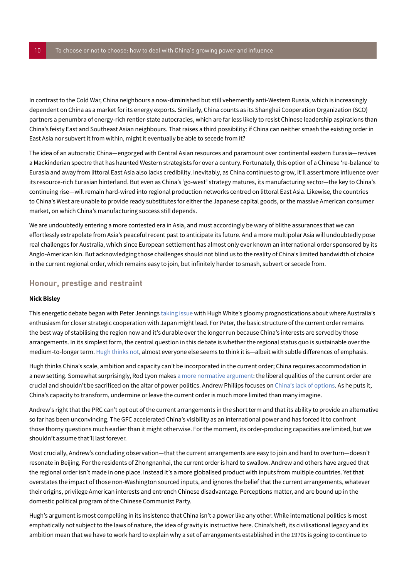In contrast to the Cold War, China neighbours a now-diminished but still vehemently anti-Western Russia, which is increasingly dependent on China as a market for its energy exports. Similarly, China counts as its Shanghai Cooperation Organization (SCO) partners a penumbra of energy-rich rentier-state autocracies, which are far less likely to resist Chinese leadership aspirations than China's feisty East and Southeast Asian neighbours. That raises a third possibility: if China can neither smash the existing order in East Asia nor subvert it from within, might it eventually be able to secede from it?

The idea of an autocratic China—engorged with Central Asian resources and paramount over continental eastern Eurasia—revives a Mackinderian spectre that has haunted Western strategists for over a century. Fortunately, this option of a Chinese 're-balance' to Eurasia and away from littoral East Asia also lacks credibility. Inevitably, as China continues to grow, it'll assert more influence over its resource-rich Eurasian hinterland. But even as China's 'go-west' strategy matures, its manufacturing sector—the key to China's continuing rise—will remain hard-wired into regional production networks centred on littoral East Asia. Likewise, the countries to China's West are unable to provide ready substitutes for either the Japanese capital goods, or the massive American consumer market, on which China's manufacturing success still depends.

We are undoubtedly entering a more contested era in Asia, and must accordingly be wary of blithe assurances that we can effortlessly extrapolate from Asia's peaceful recent past to anticipate its future. And a more multipolar Asia will undoubtedly pose real challenges for Australia, which since European settlement has almost only ever known an international order sponsored by its Anglo-American kin. But acknowledging those challenges should not blind us to the reality of China's limited bandwidth of choice in the current regional order, which remains easy to join, but infinitely harder to smash, subvert or secede from.

# <span id="page-9-0"></span>**Honour, prestige and restraint**

#### **Nick Bisley**

This energetic debate began with Peter Jennings [taking issue](#page-1-0) with Hugh White's gloomy prognostications about where Australia's enthusiasm for closer strategic cooperation with Japan might lead. For Peter, the basic structure of the current order remains the best way of stabilising the region now and it's durable over the longer run because China's interests are served by those arrangements. In its simplest form, the central question in this debate is whether the regional status quo is sustainable over the medium-to-longer term. [Hugh thinks not](#page-2-0), almost everyone else seems to think it is—albeit with subtle differences of emphasis.

Hugh thinks China's scale, ambition and capacity can't be incorporated in the current order; China requires accommodation in a new setting. Somewhat surprisingly, Rod Lyon makes [a more normative argument:](#page-4-0) the liberal qualities of the current order are crucial and shouldn't be sacrificed on the altar of power politics. Andrew Phillips focuses on China's lack of options. As he puts it, China's capacity to transform, undermine or leave the current order is much more limited than many imagine.

Andrew's right that the PRC can't opt out of the current arrangements in the short term and that its ability to provide an alternative so far has been unconvincing. The GFC accelerated China's visibility as an international power and has forced it to confront those thorny questions much earlier than it might otherwise. For the moment, its order-producing capacities are limited, but we shouldn't assume that'll last forever.

Most crucially, Andrew's concluding observation—that the current arrangements are easy to join and hard to overturn—doesn't resonate in Beijing. For the residents of Zhongnanhai, the current order is hard to swallow. Andrew and others have argued that the regional order isn't made in one place. Instead it's a more globalised product with inputs from multiple countries. Yet that overstates the impact of those non-Washington sourced inputs, and ignores the belief that the current arrangements, whatever their origins, privilege American interests and entrench Chinese disadvantage. Perceptions matter, and are bound up in the domestic political program of the Chinese Communist Party.

Hugh's argument is most compelling in its insistence that China isn't a power like any other. While international politics is most emphatically not subject to the laws of nature, the idea of gravity is instructive here. China's heft, its civilisational legacy and its ambition mean that we have to work hard to explain why a set of arrangements established in the 1970s is going to continue to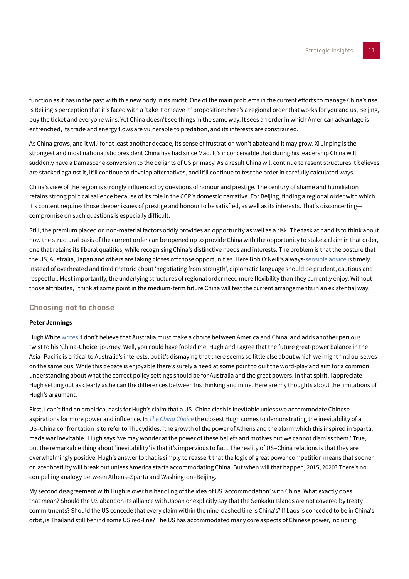function as it has in the past with this new body in its midst. One of the main problems in the current efforts to manage China's rise is Beijing's perception that it's faced with a 'take it or leave it' proposition: here's a regional order that works for you and us, Beijing, buy the ticket and everyone wins. Yet China doesn't see things in the same way. It sees an order in which American advantage is entrenched, its trade and energy flows are vulnerable to predation, and its interests are constrained.

As China grows, and it will for at least another decade, its sense of frustration won't abate and it may grow. Xi Jinping is the strongest and most nationalistic president China has had since Mao. It's inconceivable that during his leadership China will suddenly have a Damascene conversion to the delights of US primacy. As a result China will continue to resent structures it believes are stacked against it, it'll continue to develop alternatives, and it'll continue to test the order in carefully calculated ways.

China's view of the region is strongly influenced by questions of honour and prestige. The century of shame and humiliation retains strong political salience because of its role in the CCP's domestic narrative. For Beijing, finding a regional order with which it's content requires those deeper issues of prestige and honour to be satisfied, as well as its interests. That's disconcerting compromise on such questions is especially difficult.

Still, the premium placed on non-material factors oddly provides an opportunity as well as a risk. The task at hand is to think about how the structural basis of the current order can be opened up to provide China with the opportunity to stake a claim in that order, one that retains its liberal qualities, while recognising China's distinctive needs and interests. The problem is that the posture that the US, Australia, Japan and others are taking closes off those opportunities. Here Bob O'Neill's always-[sensible advice](#page-3-0) is timely. Instead of overheated and tired rhetoric about 'negotiating from strength', diplomatic language should be prudent, cautious and respectful. Most importantly, the underlying structures of regional order need more flexibility than they currently enjoy. Without those attributes, I think at some point in the medium-term future China will test the current arrangements in an existential way.

# <span id="page-10-0"></span>**Choosing not to choose**

#### **Peter Jennings**

Hugh White [writes](#page-2-0) 'I don't believe that Australia must make a choice between America and China' and adds another perilous twist to his 'China-Choice' journey. Well, you could have fooled me! Hugh and I agree that the future great-power balance in the Asia–Pacific is critical to Australia's interests, but it's dismaying that there seems so little else about which we might find ourselves on the same bus. While this debate is enjoyable there's surely a need at some point to quit the word-play and aim for a common understanding about what the correct policy settings should be for Australia and the great powers. In that spirit, I appreciate Hugh setting out as clearly as he can the differences between his thinking and mine. Here are my thoughts about the limitations of Hugh's argument.

First, I can't find an empirical basis for Hugh's claim that a US–China clash is inevitable unless we accommodate Chinese aspirations for more power and influence. In *[The China Choice](http://www.blackincbooks.com/books/china-choice-1)* the closest Hugh comes to demonstrating the inevitability of a US–China confrontation is to refer to Thucydides: 'the growth of the power of Athens and the alarm which this inspired in Sparta, made war inevitable.' Hugh says 'we may wonder at the power of these beliefs and motives but we cannot dismiss them.' True, but the remarkable thing about 'inevitability' is that it's impervious to fact. The reality of US–China relations is that they are overwhelmingly positive. Hugh's answer to that is simply to reassert that the logic of great power competition means that sooner or later hostility will break out unless America starts accommodating China. But when will that happen, 2015, 2020? There's no compelling analogy between Athens–Sparta and Washington–Beijing.

My second disagreement with Hugh is over his handling of the idea of US 'accommodation' with China. What exactly does that mean? Should the US abandon its alliance with Japan or explicitly say that the Senkaku Islands are not covered by treaty commitments? Should the US concede that every claim within the nine-dashed line is China's? If Laos is conceded to be in China's orbit, is Thailand still behind some US red-line? The US has accommodated many core aspects of Chinese power, including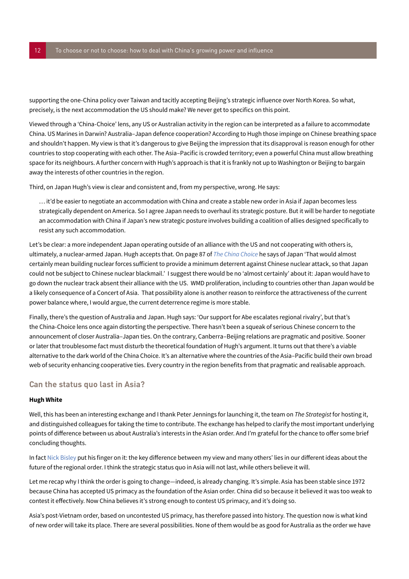supporting the one-China policy over Taiwan and tacitly accepting Beijing's strategic influence over North Korea. So what, precisely, is the next accommodation the US should make? We never get to specifics on this point.

Viewed through a 'China-Choice' lens, any US or Australian activity in the region can be interpreted as a failure to accommodate China. US Marines in Darwin? Australia–Japan defence cooperation? According to Hugh those impinge on Chinese breathing space and shouldn't happen. My view is that it's dangerous to give Beijing the impression that its disapproval is reason enough for other countries to stop cooperating with each other. The Asia–Pacific is crowded territory; even a powerful China must allow breathing space for its neighbours. A further concern with Hugh's approach is that it is frankly not up to Washington or Beijing to bargain away the interests of other countries in the region.

Third, on Japan Hugh's view is clear and consistent and, from my perspective, wrong. He says:

… it'd be easier to negotiate an accommodation with China and create a stable new order in Asia if Japan becomes less strategically dependent on America. So I agree Japan needs to overhaul its strategic posture. But it will be harder to negotiate an accommodation with China if Japan's new strategic posture involves building a coalition of allies designed specifically to resist any such accommodation.

Let's be clear: a more independent Japan operating outside of an alliance with the US and not cooperating with others is, ultimately, a nuclear-armed Japan. Hugh accepts that. On page 87 of *[The China Choice](http://www.blackincbooks.com/books/china-choice-1)* he says of Japan 'That would almost certainly mean building nuclear forces sufficient to provide a minimum deterrent against Chinese nuclear attack, so that Japan could not be subject to Chinese nuclear blackmail.' I suggest there would be no 'almost certainly' about it: Japan would have to go down the nuclear track absent their alliance with the US. WMD proliferation, including to countries other than Japan would be a likely consequence of a Concert of Asia. That possibility alone is another reason to reinforce the attractiveness of the current power balance where, I would argue, the current deterrence regime is more stable.

Finally, there's the question of Australia and Japan. Hugh says: 'Our support for Abe escalates regional rivalry', but that's the China-Choice lens once again distorting the perspective. There hasn't been a squeak of serious Chinese concern to the announcement of closer Australia–Japan ties. On the contrary, Canberra–Beijing relations are pragmatic and positive. Sooner or later that troublesome fact must disturb the theoretical foundation of Hugh's argument. It turns out that there's a viable alternative to the dark world of the China Choice. It's an alternative where the countries of the Asia–Pacific build their own broad web of security enhancing cooperative ties. Every country in the region benefits from that pragmatic and realisable approach.

## **Can the status quo last in Asia?**

#### **Hugh White**

Well, this has been an interesting exchange and I thank Peter Jennings for launching it, the team on *The Strategist* for hosting it, and distinguished colleagues for taking the time to contribute. The exchange has helped to clarify the most important underlying points of difference between us about Australia's interests in the Asian order. And I'm grateful for the chance to offer some brief concluding thoughts.

In fact [Nick Bisley](#page-9-0) put his finger on it: the key difference between my view and many others' lies in our different ideas about the future of the regional order. I think the strategic status quo in Asia will not last, while others believe it will.

Let me recap why I think the order is going to change—indeed, is already changing. It's simple. Asia has been stable since 1972 because China has accepted US primacy as the foundation of the Asian order. China did so because it believed it was too weak to contest it effectively. Now China believes it's strong enough to contest US primacy, and it's doing so.

Asia's post-Vietnam order, based on uncontested US primacy, has therefore passed into history. The question now is what kind of new order will take its place. There are several possibilities. None of them would be as good for Australia as the order we have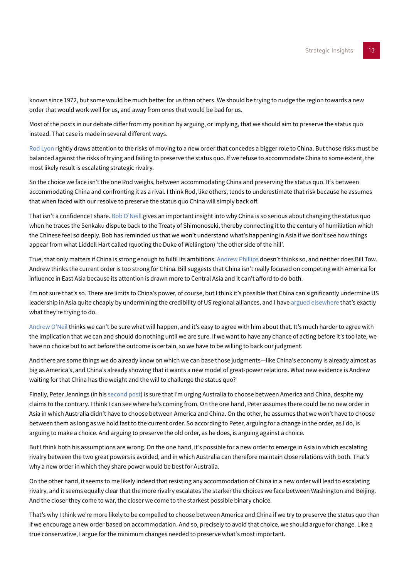known since 1972, but some would be much better for us than others. We should be trying to nudge the region towards a new order that would work well for us, and away from ones that would be bad for us.

Most of the posts in our debate differ from my position by arguing, or implying, that we should aim to preserve the status quo instead. That case is made in several different ways.

[Rod Lyon](#page-4-0) rightly draws attention to the risks of moving to a new order that concedes a bigger role to China. But those risks must be balanced against the risks of trying and failing to preserve the status quo. If we refuse to accommodate China to some extent, the most likely result is escalating strategic rivalry.

So the choice we face isn't the one Rod weighs, between accommodating China and preserving the status quo. It's between accommodating China and confronting it as a rival. I think Rod, like others, tends to underestimate that risk because he assumes that when faced with our resolve to preserve the status quo China will simply back off.

That isn't a confidence I share. [Bob O'Neill](#page-3-0) gives an important insight into why China is so serious about changing the status quo when he traces the Senkaku dispute back to the Treaty of Shimonoseki, thereby connecting it to the century of humiliation which the Chinese feel so deeply. Bob has reminded us that we won't understand what's happening in Asia if we don't see how things appear from what Liddell Hart called (quoting the Duke of Wellington) 'the other side of the hill'.

True, that only matters if China is strong enough to fulfil its ambitions. Andrew Phillips doesn't thinks so, and neither does Bill Tow. Andrew thinks the current order is too strong for China. Bill suggests that China isn't really focused on competing with America for influence in East Asia because its attention is drawn more to Central Asia and it can't afford to do both.

I'm not sure that's so. There are limits to China's power, of course, but I think it's possible that China can significantly undermine US leadership in Asia quite cheaply by undermining the credibility of US regional alliances, and I have [argued elsewhere](http://www.lowyinterpreter.org/post/2014/05/22/Explaining-Chinas-behaviour-in-the-East-and-South-China-Seas.aspx) that's exactly what they're trying to do.

[Andrew O'Neil](#page-5-0) thinks we can't be sure what will happen, and it's easy to agree with him about that. It's much harder to agree with the implication that we can and should do nothing until we are sure. If we want to have any chance of acting before it's too late, we have no choice but to act before the outcome is certain, so we have to be willing to back our judgment.

And there are some things we do already know on which we can base those judgments—like China's economy is already almost as big as America's, and China's already showing that it wants a new model of great-power relations. What new evidence is Andrew waiting for that China has the weight and the will to challenge the status quo?

Finally, Peter Jennings (in his [second post\)](#page-10-0) is sure that I'm urging Australia to choose between America and China, despite my claims to the contrary. I think I can see where he's coming from. On the one hand, Peter assumes there could be no new order in Asia in which Australia didn't have to choose between America and China. On the other, he assumes that we won't have to choose between them as long as we hold fast to the current order. So according to Peter, arguing for a change in the order, as I do, is arguing to make a choice. And arguing to preserve the old order, as he does, is arguing against a choice.

But I think both his assumptions are wrong. On the one hand, it's possible for a new order to emerge in Asia in which escalating rivalry between the two great powers is avoided, and in which Australia can therefore maintain close relations with both. That's why a new order in which they share power would be best for Australia.

On the other hand, it seems to me likely indeed that resisting any accommodation of China in a new order will lead to escalating rivalry, and it seems equally clear that the more rivalry escalates the starker the choices we face between Washington and Beijing. And the closer they come to war, the closer we come to the starkest possible binary choice.

That's why I think we're more likely to be compelled to choose between America and China if we try to preserve the status quo than if we encourage a new order based on accommodation. And so, precisely to avoid that choice, we should argue for change. Like a true conservative, I argue for the minimum changes needed to preserve what's most important.